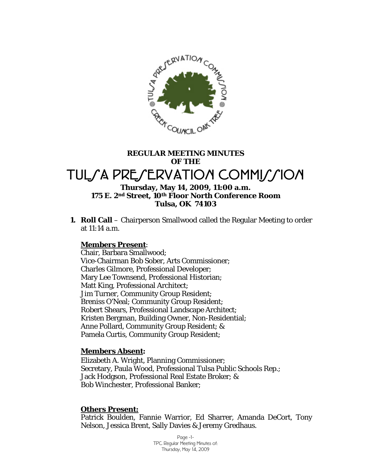

# **REGULAR MEETING MINUTES OF THE**  TULSA PRESERVATION COMMISSION **Thursday, May 14, 2009, 11:00 a.m.**

## **175 E. 2nd Street, 10th Floor North Conference Room Tulsa, OK 74103**

**1. Roll Call** – Chairperson Smallwood called the Regular Meeting to order at 11:14 a.m.

### **Members Present**:

Chair, Barbara Smallwood; Vice-Chairman Bob Sober, Arts Commissioner; Charles Gilmore, Professional Developer; Mary Lee Townsend, Professional Historian; Matt King, Professional Architect; Jim Turner, Community Group Resident; Breniss O'Neal; Community Group Resident; Robert Shears, Professional Landscape Architect; Kristen Bergman, Building Owner, Non-Residential; Anne Pollard, Community Group Resident; & Pamela Curtis, Community Group Resident;

### **Members Absent:**

Elizabeth A. Wright, Planning Commissioner; Secretary, Paula Wood, Professional Tulsa Public Schools Rep.; Jack Hodgson, Professional Real Estate Broker; & Bob Winchester, Professional Banker;

### **Others Present:**

Patrick Boulden, Fannie Warrior, Ed Sharrer, Amanda DeCort, Tony Nelson, Jessica Brent, Sally Davies & Jeremy Gredhaus.

> Page -1- TPC Regular Meeting Minutes of: Thursday, May 14, 2009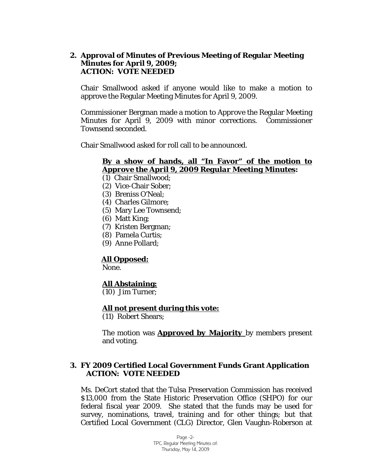### **2. Approval of Minutes of Previous Meeting of Regular Meeting Minutes for April 9, 2009; ACTION: VOTE NEEDED**

Chair Smallwood asked if anyone would like to make a motion to approve the Regular Meeting Minutes for April 9, 2009.

Commissioner Bergman made a motion to *Approve* the Regular Meeting Minutes for April 9, 2009 with minor corrections. Commissioner Townsend seconded.

Chair Smallwood asked for roll call to be announced.

### **By a show of hands, all "In Favor" of the motion to**  *Approve the April 9, 2009 Regular Meeting Minutes***:**

- (1) Chair Smallwood;
- (2) Vice-Chair Sober;
- (3) Breniss O'Neal;
- (4) Charles Gilmore;
- (5) Mary Lee Townsend;
- (6) Matt King;
- (7) Kristen Bergman;
- (8) Pamela Curtis;
- (9) Anne Pollard;

### **All Opposed:**

None.

### **All Abstaining:**

(10) Jim Turner;

### **All not present during this vote:**

(11) Robert Shears;

The motion was *Approved by Majority* by members present and voting.

### **3. FY 2009 Certified Local Government Funds Grant Application ACTION: VOTE NEEDED**

Ms. DeCort stated that the Tulsa Preservation Commission has received \$13,000 from the State Historic Preservation Office (SHPO) for our federal fiscal year 2009. She stated that the funds may be used for survey, nominations, travel, training and for other things; but that Certified Local Government (CLG) Director, Glen Vaughn-Roberson at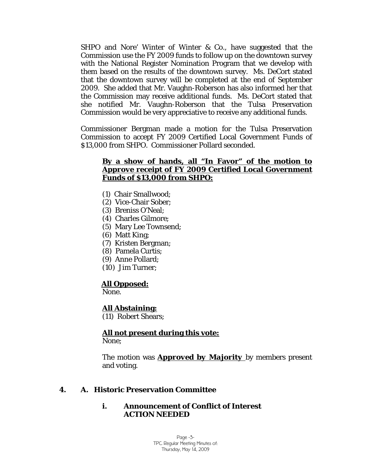SHPO and Nore' Winter of Winter & Co., have suggested that the Commission use the FY 2009 funds to follow up on the downtown survey with the National Register Nomination Program that we develop with them based on the results of the downtown survey. Ms. DeCort stated that the downtown survey will be completed at the end of September 2009. She added that Mr. Vaughn-Roberson has also informed her that the Commission may receive additional funds. Ms. DeCort stated that she notified Mr. Vaughn-Roberson that the Tulsa Preservation Commission would be very appreciative to receive any additional funds.

Commissioner Bergman made a motion for the Tulsa Preservation Commission to accept FY 2009 Certified Local Government Funds of \$13,000 from SHPO. Commissioner Pollard seconded.

### **By a show of hands, all "In Favor" of the motion to**  *Approve* **receipt of FY 2009 Certified Local Government Funds of \$13,000 from SHPO:**

- (1) Chair Smallwood;
- (2) Vice-Chair Sober;
- (3) Breniss O'Neal;
- (4) Charles Gilmore;
- (5) Mary Lee Townsend;
- (6) Matt King;
- (7) Kristen Bergman;
- (8) Pamela Curtis;
- (9) Anne Pollard;
- (10) Jim Turner;

## **All Opposed:**

None.

### **All Abstaining:**

(11) Robert Shears;

## **All not present during this vote:**

None;

The motion was *Approved by Majority* by members present and voting.

### **4. A. Historic Preservation Committee**

### **i. Announcement of Conflict of Interest ACTION NEEDED**

Page -3- TPC Regular Meeting Minutes of: Thursday, May 14, 2009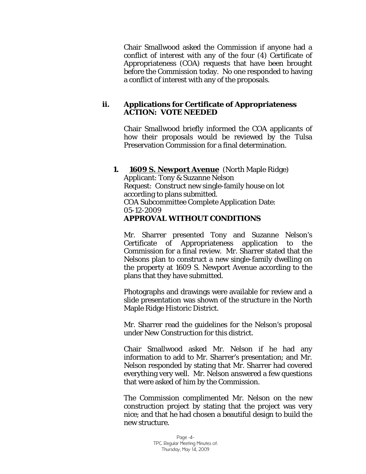Chair Smallwood asked the Commission if anyone had a conflict of interest with any of the four (4) Certificate of Appropriateness (COA) requests that have been brought before the Commission today. No one responded to having a conflict of interest with any of the proposals.

### **ii. Applications for Certificate of Appropriateness ACTION: VOTE NEEDED**

Chair Smallwood briefly informed the COA applicants of how their proposals would be reviewed by the Tulsa Preservation Commission for a final determination.

### **1. 1609 S. Newport Avenue** (North Maple Ridge) Applicant: Tony & Suzanne Nelson Request: Construct new single-family house on lot according to plans submitted. COA Subcommittee Complete Application Date: 05-12-2009 *APPROVAL WITHOUT CONDITIONS*

Mr. Sharrer presented Tony and Suzanne Nelson's Certificate of Appropriateness application to the Commission for a final review. Mr. Sharrer stated that the Nelsons plan to construct a new single-family dwelling on the property at 1609 S. Newport Avenue according to the plans that they have submitted.

Photographs and drawings were available for review and a slide presentation was shown of the structure in the North Maple Ridge Historic District.

Mr. Sharrer read the guidelines for the Nelson's proposal under *New Construction* for this district.

Chair Smallwood asked Mr. Nelson if he had any information to add to Mr. Sharrer's presentation; and Mr. Nelson responded by stating that Mr. Sharrer had covered everything very well. Mr. Nelson answered a few questions that were asked of him by the Commission.

The Commission complimented Mr. Nelson on the new construction project by stating that the project was very nice; and that he had chosen a beautiful design to build the new structure.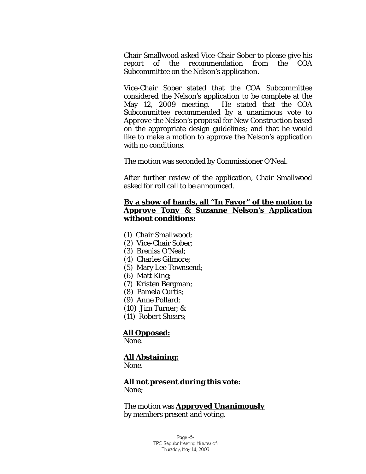Chair Smallwood asked Vice-Chair Sober to please give his report of the recommendation from the COA Subcommittee on the Nelson's application.

Vice-Chair Sober stated that the COA Subcommittee considered the Nelson's application to be complete at the May 12, 2009 meeting. He stated that the COA Subcommittee recommended by a unanimous vote to *Approve* the Nelson's proposal for *New Construction* based on the appropriate design guidelines; and that he would like to make a motion to approve the Nelson's application with no conditions.

The motion was seconded by Commissioner O'Neal.

After further review of the application, Chair Smallwood asked for roll call to be announced.

### **By a show of hands, all "In Favor" of the motion to**  *Approve* **Tony & Suzanne Nelson's Application without conditions:**

- (1) Chair Smallwood;
- (2) Vice-Chair Sober;
- (3) Breniss O'Neal;
- (4) Charles Gilmore;
- (5) Mary Lee Townsend;
- (6) Matt King;
- (7) Kristen Bergman;
- (8) Pamela Curtis;
- (9) Anne Pollard;
- (10) Jim Turner; &
- (11) Robert Shears;

## **All Opposed:**

None.

### **All Abstaining:**

None.

### **All not present during this vote:**

None;

The motion was *Approved Unanimously* by members present and voting.

> Page -5- TPC Regular Meeting Minutes of: Thursday, May 14, 2009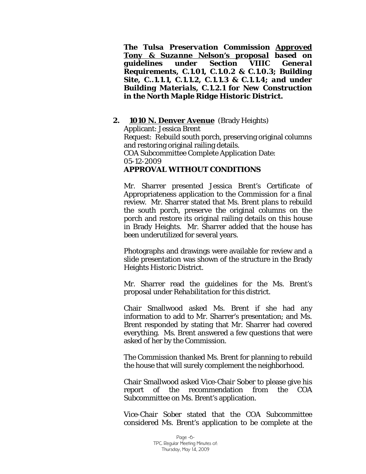*The Tulsa Preservation Commission Approved Tony & Suzanne Nelson's proposal based on guidelines under Section VIIIC General Requirements, C.1.01, C.1.0.2 & C.1.0.3; Building Site, C..1.1.1, C.1.1.2, C.1.1.3 & C.1.1.4; and under Building Materials, C.1.2.1 for New Construction in the North Maple Ridge Historic District.*

**2. 1010 N. Denver Avenue** (Brady Heights) Applicant: Jessica Brent Request: Rebuild south porch, preserving original columns and restoring original railing details. COA Subcommittee Complete Application Date: 05-12-2009 *APPROVAL WITHOUT CONDITIONS* 

Mr. Sharrer presented Jessica Brent's Certificate of Appropriateness application to the Commission for a final review. Mr. Sharrer stated that Ms. Brent plans to rebuild the south porch, preserve the original columns on the porch and restore its original railing details on this house in Brady Heights. Mr. Sharrer added that the house has been underutilized for several years.

Photographs and drawings were available for review and a slide presentation was shown of the structure in the Brady Heights Historic District.

Mr. Sharrer read the guidelines for the Ms. Brent's proposal under *Rehabilitation* for this district.

Chair Smallwood asked Ms. Brent if she had any information to add to Mr. Sharrer's presentation; and Ms. Brent responded by stating that Mr. Sharrer had covered everything. Ms. Brent answered a few questions that were asked of her by the Commission.

The Commission thanked Ms. Brent for planning to rebuild the house that will surely complement the neighborhood.

Chair Smallwood asked Vice-Chair Sober to please give his report of the recommendation from the COA Subcommittee on Ms. Brent's application.

Vice-Chair Sober stated that the COA Subcommittee considered Ms. Brent's application to be complete at the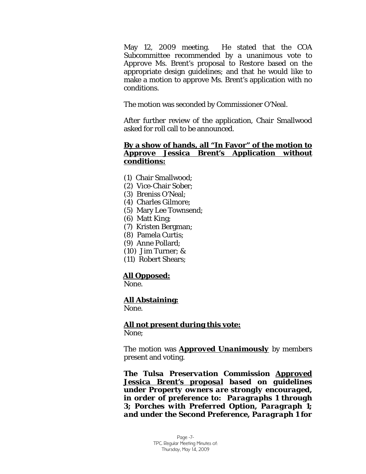May 12, 2009 meeting. He stated that the COA Subcommittee recommended by a unanimous vote to *Approve* Ms. Brent's proposal to *Restore* based on the appropriate design guidelines; and that he would like to make a motion to approve Ms. Brent's application with no conditions.

The motion was seconded by Commissioner O'Neal.

After further review of the application, Chair Smallwood asked for roll call to be announced.

### **By a show of hands, all "In Favor" of the motion to**  *Approve* **Jessica Brent's Application without conditions:**

- (1) Chair Smallwood;
- (2) Vice-Chair Sober;
- (3) Breniss O'Neal;
- (4) Charles Gilmore;
- (5) Mary Lee Townsend;
- (6) Matt King;
- (7) Kristen Bergman;
- (8) Pamela Curtis;
- (9) Anne Pollard;
- (10) Jim Turner; &
- (11) Robert Shears;

### **All Opposed:**

None.

### **All Abstaining:**

None.

# **All not present during this vote:**

None;

The motion was *Approved Unanimously* by members present and voting.

*The Tulsa Preservation Commission Approved Jessica Brent's proposal based on guidelines under Property owners are strongly encouraged, in order of preference to: Paragraphs 1 through 3; Porches with Preferred Option, Paragraph 1; and under the Second Preference, Paragraph 1 for*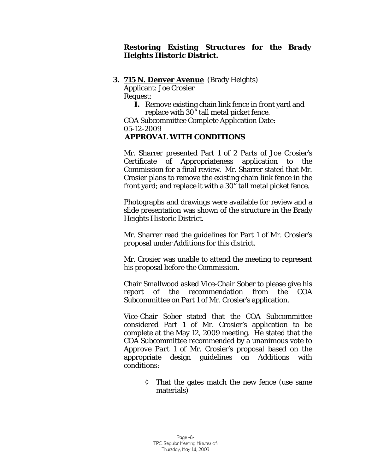### *Restoring Existing Structures for the Brady Heights Historic District.*

### **3. 715 N. Denver Avenue** (Brady Heights)

Applicant: Joe Crosier

Request:

**I.** Remove existing chain link fence in front yard and replace with 30" tall metal picket fence.

COA Subcommittee Complete Application Date: 05-12-2009

## *APPROVAL WITH CONDITIONS*

Mr. Sharrer presented Part 1 of 2 Parts of Joe Crosier's Certificate of Appropriateness application to the Commission for a final review. Mr. Sharrer stated that Mr. Crosier plans to remove the existing chain link fence in the front yard; and replace it with a 30" tall metal picket fence.

Photographs and drawings were available for review and a slide presentation was shown of the structure in the Brady Heights Historic District.

Mr. Sharrer read the guidelines for Part 1 of Mr. Crosier's proposal under *Additions* for this district.

Mr. Crosier was unable to attend the meeting to represent his proposal before the Commission.

Chair Smallwood asked Vice-Chair Sober to please give his report of the recommendation from the COA Subcommittee on Part 1 of Mr. Crosier's application.

Vice-Chair Sober stated that the COA Subcommittee considered Part 1 of Mr. Crosier's application to be complete at the May 12, 2009 meeting. He stated that the COA Subcommittee recommended by a unanimous vote to *Approve Part 1* of Mr. Crosier's proposal based on the appropriate design guidelines on Additions with conditions:

> ◊ That the gates match the new fence (use same materials)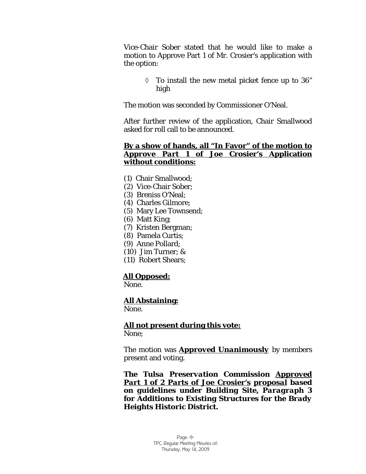Vice-Chair Sober stated that he would like to make a motion to Approve Part 1 of Mr. Crosier's application with the option:

> $\lozenge$  To install the new metal picket fence up to 36" high

The motion was seconded by Commissioner O'Neal.

After further review of the application, Chair Smallwood asked for roll call to be announced.

### **By a show of hands, all "In Favor" of the motion to**  *Approve Part 1* **of Joe Crosier's Application without conditions:**

- (1) Chair Smallwood;
- (2) Vice-Chair Sober;
- (3) Breniss O'Neal;
- (4) Charles Gilmore;
- (5) Mary Lee Townsend;
- (6) Matt King;
- (7) Kristen Bergman;
- (8) Pamela Curtis;
- (9) Anne Pollard;
- (10) Jim Turner; &
- (11) Robert Shears;

### **All Opposed:**

None.

## **All Abstaining:**

None.

**All not present during this vote:** None;

The motion was *Approved Unanimously* by members present and voting.

*The Tulsa Preservation Commission Approved Part 1 of 2 Parts of Joe Crosier's proposal based on guidelines under Building Site, Paragraph 3 for Additions to Existing Structures for the Brady Heights Historic District.*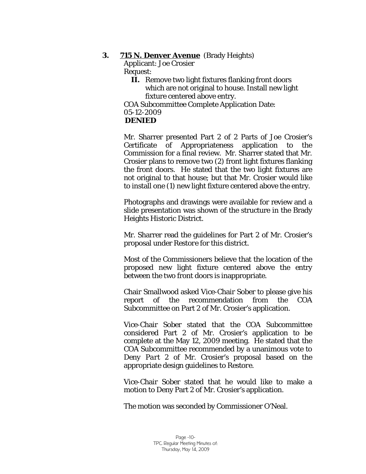### **3. 715 N. Denver Avenue** (Brady Heights)

Applicant: Joe Crosier Request:

> **II.** Remove two light fixtures flanking front doors which are not original to house. Install new light fixture centered above entry.

COA Subcommittee Complete Application Date: 05-12-2009  *DENIED* 

Mr. Sharrer presented Part 2 of 2 Parts of Joe Crosier's Certificate of Appropriateness application to the Commission for a final review. Mr. Sharrer stated that Mr. Crosier plans to remove two (2) front light fixtures flanking the front doors. He stated that the two light fixtures are not original to that house; but that Mr. Crosier would like to install one (1) new light fixture centered above the entry.

Photographs and drawings were available for review and a slide presentation was shown of the structure in the Brady Heights Historic District.

Mr. Sharrer read the guidelines for Part 2 of Mr. Crosier's proposal under *Restore* for this district.

Most of the Commissioners believe that the location of the proposed new light fixture centered above the entry between the two front doors is inappropriate.

Chair Smallwood asked Vice-Chair Sober to please give his report of the recommendation from the COA Subcommittee on Part 2 of Mr. Crosier's application.

Vice-Chair Sober stated that the COA Subcommittee considered Part 2 of Mr. Crosier's application to be complete at the May 12, 2009 meeting. He stated that the COA Subcommittee recommended by a unanimous vote to *Deny Part 2* of Mr. Crosier's proposal based on the appropriate design guidelines to *Restore*.

Vice-Chair Sober stated that he would like to make a motion to Deny Part 2 of Mr. Crosier's application.

The motion was seconded by Commissioner O'Neal.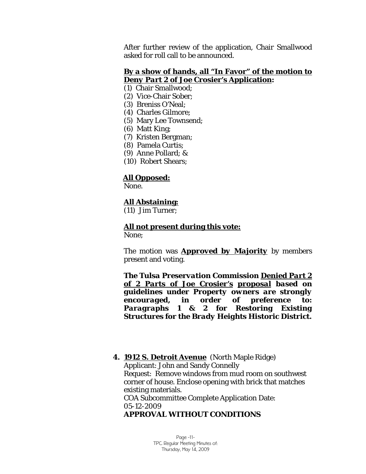After further review of the application, Chair Smallwood asked for roll call to be announced.

### **By a show of hands, all "In Favor" of the motion to**  *Deny Part 2* **of Joe Crosier's Application:**

- (1) Chair Smallwood;
- (2) Vice-Chair Sober;
- (3) Breniss O'Neal;
- (4) Charles Gilmore;
- (5) Mary Lee Townsend;
- (6) Matt King;
- (7) Kristen Bergman;
- (8) Pamela Curtis;
- (9) Anne Pollard; &
- (10) Robert Shears;

### **All Opposed:**

None.

### **All Abstaining:**

(11) Jim Turner;

**All not present during this vote:**

None;

The motion was *Approved by Majority* by members present and voting.

*The Tulsa Preservation Commission Denied Part 2 of 2 Parts of Joe Crosier's proposal based on guidelines under Property owners are strongly encouraged, in order of preference to: Paragraphs 1 & 2 for Restoring Existing Structures for the Brady Heights Historic District.*

**4. 1912 S. Detroit Avenue** (North Maple Ridge) Applicant: John and Sandy Connelly Request: Remove windows from mud room on southwest corner of house. Enclose opening with brick that matches existing materials. COA Subcommittee Complete Application Date: 05-12-2009 *APPROVAL WITHOUT CONDITIONS*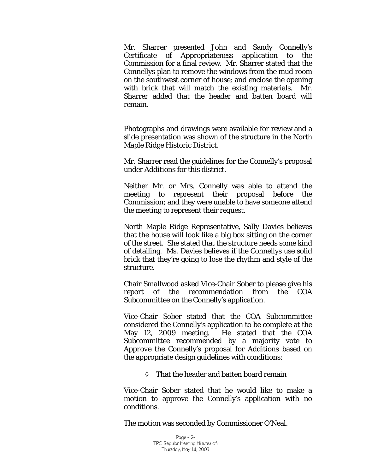Mr. Sharrer presented John and Sandy Connelly's Certificate of Appropriateness application to the Commission for a final review. Mr. Sharrer stated that the Connellys plan to remove the windows from the mud room on the southwest corner of house; and enclose the opening with brick that will match the existing materials. Mr. Sharrer added that the header and batten board will remain.

Photographs and drawings were available for review and a slide presentation was shown of the structure in the North Maple Ridge Historic District.

Mr. Sharrer read the guidelines for the Connelly's proposal under *Additions* for this district.

Neither Mr. or Mrs. Connelly was able to attend the meeting to represent their proposal before the Commission; and they were unable to have someone attend the meeting to represent their request.

North Maple Ridge Representative, Sally Davies believes that the house will look like a big box sitting on the corner of the street. She stated that the structure needs some kind of detailing. Ms. Davies believes if the Connellys use solid brick that they're going to lose the rhythm and style of the structure.

Chair Smallwood asked Vice-Chair Sober to please give his report of the recommendation from the COA Subcommittee on the Connelly's application.

Vice-Chair Sober stated that the COA Subcommittee considered the Connelly's application to be complete at the May 12, 2009 meeting. He stated that the COA Subcommittee recommended by a majority vote to *Approve* the Connelly's proposal for *Additions* based on the appropriate design guidelines with conditions:

◊ That the header and batten board remain

Vice-Chair Sober stated that he would like to make a motion to approve the Connelly's application with no conditions.

The motion was seconded by Commissioner O'Neal.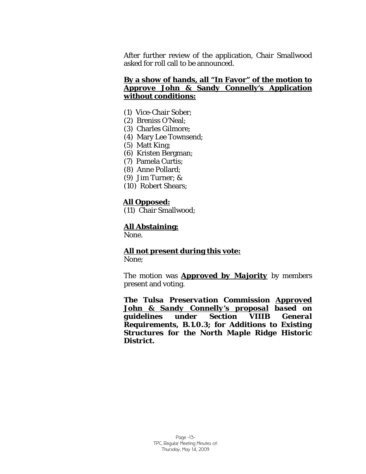After further review of the application, Chair Smallwood asked for roll call to be announced.

### **By a show of hands, all "In Favor" of the motion to** *Approve* **John & Sandy Connelly's Application without conditions:**

- (1) Vice-Chair Sober;
- (2) Breniss O'Neal;
- (3) Charles Gilmore;
- (4) Mary Lee Townsend;
- (5) Matt King;
- (6) Kristen Bergman;
- (7) Pamela Curtis;
- (8) Anne Pollard;
- (9) Jim Turner; &
- (10) Robert Shears;

### **All Opposed:**

(11) Chair Smallwood;

### **All Abstaining:**

None.

### **All not present during this vote:** None;

The motion was *Approved by Majority* by members present and voting.

*The Tulsa Preservation Commission Approved John & Sandy Connelly's proposal based on guidelines under Section VIIIB General Requirements, B.1.0.3; for Additions to Existing Structures for the North Maple Ridge Historic District.*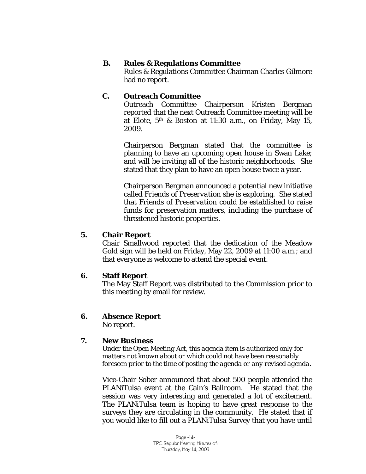### **B. Rules & Regulations Committee**

Rules & Regulations Committee Chairman Charles Gilmore had no report.

## **C. Outreach Committee**

Outreach Committee Chairperson Kristen Bergman reported that the next Outreach Committee meeting will be at Elote, 5th & Boston at 11:30 a.m., on Friday, May 15, 2009.

Chairperson Bergman stated that the committee is planning to have an upcoming open house in Swan Lake; and will be inviting all of the historic neighborhoods. She stated that they plan to have an open house twice a year.

Chairperson Bergman announced a potential new initiative called *Friends of Preservation* she is exploring. She stated that *Friends of Preservation* could be established to raise funds for preservation matters, including the purchase of threatened historic properties.

## **5. Chair Report**

Chair Smallwood reported that the dedication of the Meadow Gold sign will be held on Friday, May 22, 2009 at 11:00 a.m.; and that everyone is welcome to attend the special event.

## **6. Staff Report**

The May Staff Report was distributed to the Commission prior to this meeting by email for review.

## **6. Absence Report**

No report.

## **7. New Business**

*Under the Open Meeting Act, this agenda item is authorized only for matters not known about or which could not have been reasonably foreseen prior to the time of posting the agenda or any revised agenda.* 

Vice-Chair Sober announced that about 500 people attended the PLANiTulsa event at the Cain's Ballroom. He stated that the session was very interesting and generated a lot of excitement. The PLANiTulsa team is hoping to have great response to the surveys they are circulating in the community. He stated that if you would like to fill out a PLANiTulsa Survey that you have until